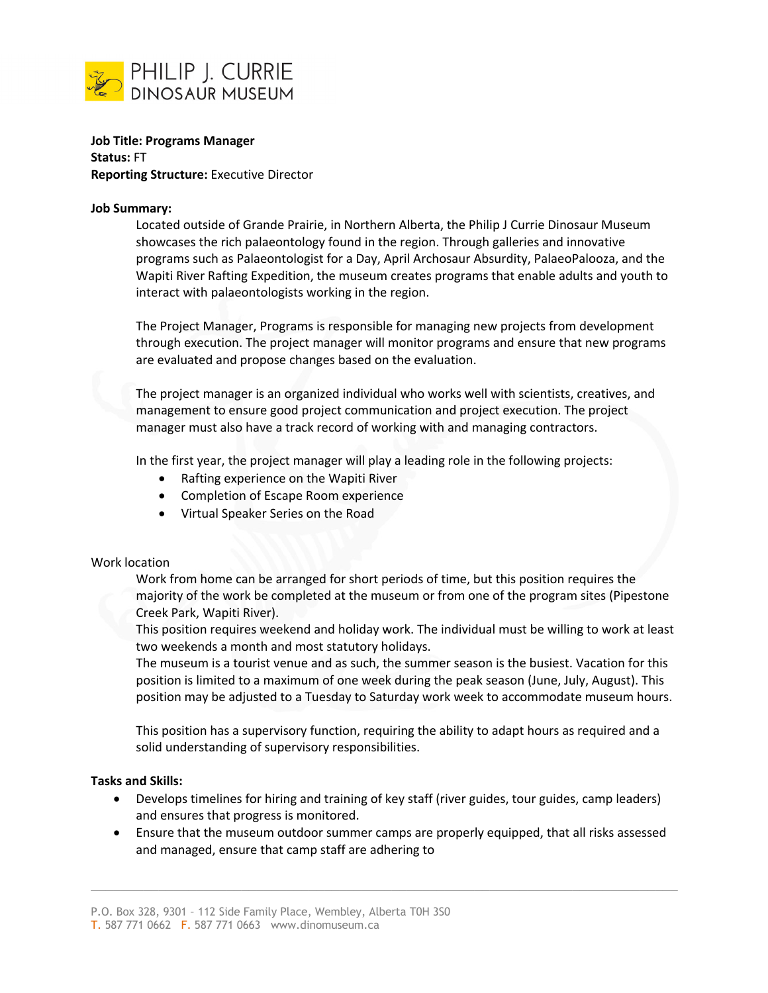

**Job Title: Programs Manager Status:** FT **Reporting Structure:** Executive Director

#### **Job Summary:**

Located outside of Grande Prairie, in Northern Alberta, the Philip J Currie Dinosaur Museum showcases the rich palaeontology found in the region. Through galleries and innovative programs such as Palaeontologist for a Day, April Archosaur Absurdity, PalaeoPalooza, and the Wapiti River Rafting Expedition, the museum creates programs that enable adults and youth to interact with palaeontologists working in the region.

The Project Manager, Programs is responsible for managing new projects from development through execution. The project manager will monitor programs and ensure that new programs are evaluated and propose changes based on the evaluation.

The project manager is an organized individual who works well with scientists, creatives, and management to ensure good project communication and project execution. The project manager must also have a track record of working with and managing contractors.

In the first year, the project manager will play a leading role in the following projects:

- Rafting experience on the Wapiti River
- Completion of Escape Room experience
- Virtual Speaker Series on the Road

## Work location

Work from home can be arranged for short periods of time, but this position requires the majority of the work be completed at the museum or from one of the program sites (Pipestone Creek Park, Wapiti River).

This position requires weekend and holiday work. The individual must be willing to work at least two weekends a month and most statutory holidays.

The museum is a tourist venue and as such, the summer season is the busiest. Vacation for this position is limited to a maximum of one week during the peak season (June, July, August). This position may be adjusted to a Tuesday to Saturday work week to accommodate museum hours.

This position has a supervisory function, requiring the ability to adapt hours as required and a solid understanding of supervisory responsibilities.

#### **Tasks and Skills:**

- Develops timelines for hiring and training of key staff (river guides, tour guides, camp leaders) and ensures that progress is monitored.
- Ensure that the museum outdoor summer camps are properly equipped, that all risks assessed and managed, ensure that camp staff are adhering to